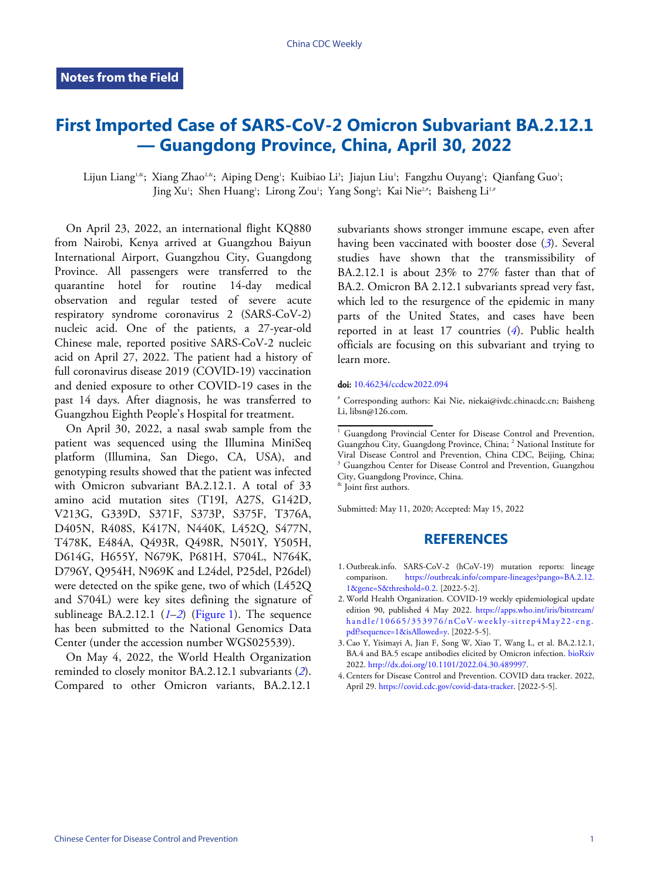## **First Imported Case of SARS-CoV-2 Omicron Subvariant BA.2.12.1 — Guangdong Province, China, April 30, 2022**

Lijun Liang''.«; Xiang Zhao<sup>2,&</sup>; Aiping Deng'; Kuibiao Li<sup>3</sup>; Jiajun Liu'; Fangzhu Ouyang'; Qianfang Guo'; Jing Xu'; Shen Huang'; Lirong Zou'; Yang Song'; Kai Nie2\*; Baisheng Li<sup>1,</sup>\*

On April 23, 2022, an international flight KQ880 from Nairobi, Kenya arrived at Guangzhou Baiyun International Airport, Guangzhou City, Guangdong Province. All passengers were transferred to the quarantine hotel for routine 14-day medical observation and regular tested of severe acute respiratory syndrome coronavirus 2 (SARS-CoV-2) nucleic acid. One of the patients, a 27-year-old Chinese male, reported positive SARS-CoV-2 nucleic acid on April 27, 2022. The patient had a history of full coronavirus disease 2019 (COVID-19) vaccination and denied exposure to other COVID-19 cases in the past 14 days. After diagnosis, he was transferred to Guangzhou Eighth People's Hospital for treatment.

On April 30, 2022, a nasal swab sample from the patient was sequenced using the Illumina MiniSeq platform (Illumina, San Diego, CA, USA), and genotyping results showed that the patient was infected with Omicron subvariant BA.2.12.1. A total of 33 amino acid mutation sites (T19I, A27S, G142D, V213G, G339D, S371F, S373P, S375F, T376A, D405N, R408S, K417N, N440K, L452Q, S477N, T478K, E484A, Q493R, Q498R, N501Y, Y505H, D614G, H655Y, N679K, P681H, S704L, N764K, D796Y, Q954H, N969K and L24del, P25del, P26del) were detected on the spike gene, two of which (L452Q and S704L) were key sites defining the signature of sublineage BA.2.12.1 (*[1](#page-0-0)*–*[2](#page-0-1)*) [\(Figure 1\)](#page-1-0). The sequence has been submitted to the National Genomics Data Center (under the accession number WGS025539).

On May 4, 2022, the World Health Organization reminded to closely monitor BA.2.12.1 subvariants (*[2](#page-0-1)*). Compared to other Omicron variants, BA.2.12.1

subvariants shows stronger immune escape, even after having been vaccinated with booster dose (*[3](#page-0-2)*). Several studies have shown that the transmis[si](#page-0-2)bility of BA.2.12.1 is about  $23\%$  to  $27\%$  faster than that of BA.2. Omicron BA 2.12.1 subvariants spread very fast, which led to the resurgence of the epidemic in many parts of the United States, and cases have been reported in at least 17 countries (*[4](#page-0-3)*). Public health officials are focusing on this subvar[ian](#page-0-3)t and trying to learn more.

## doi: [10.46234/ccdcw2022.094](https://doi.org/10.46234/ccdcw2022.094)

# C[orresponding authors: Kai](https://doi.org/10.46234/ccdcw2022.094) Nie, niekai@ivdc.chinacdc.cn; Baisheng Li, libsn@126.com.

<sup>1</sup> Guangdong Provincial Center for Disease Control and Prevention, Guangzhou City, Guangdong Province, China; <sup>2</sup> National Institute for Viral Disease Co[ntrol and Prevention, China CDC, Beijing, China;](https://outbreak.info/compare-lineages?pango=BA.2.12.1&gene=S&threshold=0.2) <sup>3</sup> [Guangzhou Center for D](https://outbreak.info/compare-lineages?pango=BA.2.12.1&gene=S&threshold=0.2)isease Control and Prevention, Guangzhou City, Guangdong Province, China.

& Joint first authors.

S[ubmitted: May 11, 2020; Acc](https://apps.who.int/iris/bitstream/handle/10665/353976/nCoV-weekly-sitrep4May22-eng.pdf?sequence=1&isAllowed=y)epted: May 15, 2022

## **[REFERENCES](https://doi.org/10.1101/2022.04.30.489997)**

- <span id="page-0-0"></span>1. Outbreak.info. SARS-CoV-2 (hCoV-19) mutation reports: lineage [comparison.](https://outbreak.info/compare-lineages?pango=BA.2.12.1&gene=S&threshold=0.2) [https://outbreak.info/compare-lineages?pango=BA.2.12.](https://outbreak.info/compare-lineages?pango=BA.2.12.1&gene=S&threshold=0.2) [1&gene=S&threshold=0.2. \[2022-5-2\].](https://outbreak.info/compare-lineages?pango=BA.2.12.1&gene=S&threshold=0.2)
- <span id="page-0-1"></span>[World Health Organizatio](https://outbreak.info/compare-lineages?pango=BA.2.12.1&gene=S&threshold=0.2)n. COVI[D-19 weekly epidemiological update](https://apps.who.int/iris/bitstream/handle/10665/353976/nCoV-weekly-sitrep4May22-eng.pdf?sequence=1&isAllowed=y) 2. edition 90, published 4 May 2022. [https://apps.who.int/iris/bitstream/](https://apps.who.int/iris/bitstream/handle/10665/353976/nCoV-weekly-sitrep4May22-eng.pdf?sequence=1&isAllowed=y) [handle/10665/353976/nCoV-weekly-sitrep4May22-eng.](https://apps.who.int/iris/bitstream/handle/10665/353976/nCoV-weekly-sitrep4May22-eng.pdf?sequence=1&isAllowed=y) [pdf?sequence=1&isAllowed=y. \[2022-5-5\].](https://apps.who.int/iris/bitstream/handle/10665/353976/nCoV-weekly-sitrep4May22-eng.pdf?sequence=1&isAllowed=y)
- <span id="page-0-2"></span>3. [Cao Y, Yisimayi A, Jian F, So](https://apps.who.int/iris/bitstream/handle/10665/353976/nCoV-weekly-sitrep4May22-eng.pdf?sequence=1&isAllowed=y)ng W, Xiao T, Wang L, et al. B[A.2.12.1,](https://doi.org/10.1101/2022.04.30.489997) BA.4 [and BA.5 escape antibodies elicited by Omicron](https://doi.org/10.1101/2022.04.30.489997) infection. [bioRxiv](https://doi.org/10.1101/2022.04.30.489997) 2022. [http://dx.doi.org/10.1101/2022.04.30.489997.](https://doi.org/10.1101/2022.04.30.489997)
- <span id="page-0-3"></span>Cente[rs f](https://doi.org/10.1101/2022.04.30.489997)[or Disease Control and Prevention. CO](https://covid.cdc.gov/covid-data-tracker)[VID](https://doi.org/10.1101/2022.04.30.489997) data tracker. 2022, 4. April 29. [https://covid.cdc.gov/covid-data-tracker.](https://covid.cdc.gov/covid-data-tracker) [2022-5-5].